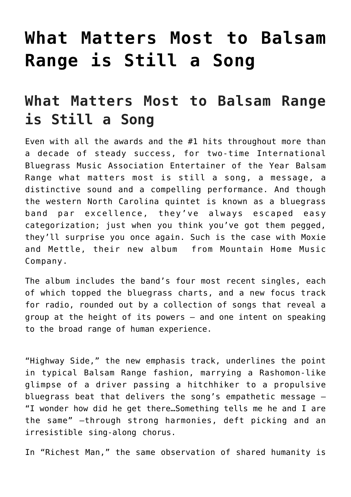## **[What Matters Most to Balsam](https://thebluegrassstandard.com/what-matters-most-to-balsam-range-is-still-a-song/) [Range is Still a Song](https://thebluegrassstandard.com/what-matters-most-to-balsam-range-is-still-a-song/)**

## **What Matters Most to Balsam Range is Still a Song**

Even with all the awards and the #1 hits throughout more than a decade of steady success, for two-time International Bluegrass Music Association Entertainer of the Year [Balsam](https://crossroadsmusic.us9.list-manage.com/track/click?u=b08f31d0bf7f78f717fff5f5c&id=239f445944&e=9c43140f47) [Range](https://crossroadsmusic.us9.list-manage.com/track/click?u=b08f31d0bf7f78f717fff5f5c&id=239f445944&e=9c43140f47) what matters most is still a song, a message, a distinctive sound and a compelling performance. And though the western North Carolina quintet is known as a bluegrass band par excellence, they've always escaped easy categorization; just when you think you've got them pegged, they'll surprise you once again. Such is the case with Moxie and Mettle, their new album from [Mountain Home Music](https://crossroadsmusic.us9.list-manage.com/track/click?u=b08f31d0bf7f78f717fff5f5c&id=4861b01b31&e=9c43140f47) [Company](https://crossroadsmusic.us9.list-manage.com/track/click?u=b08f31d0bf7f78f717fff5f5c&id=4861b01b31&e=9c43140f47).

The album includes the band's four most recent singles, each of which topped the bluegrass charts, and a new focus track for radio, rounded out by a collection of songs that reveal a group at the height of its powers — and one intent on speaking to the broad range of human experience.

"Highway Side," the new emphasis track, underlines the point in typical Balsam Range fashion, marrying a Rashomon-like glimpse of a driver passing a hitchhiker to a propulsive bluegrass beat that delivers the song's empathetic message — "I wonder how did he get there…Something tells me he and I are the same" —through strong harmonies, deft picking and an irresistible sing-along chorus.

In ["Richest Man,"](https://crossroadsmusic.us9.list-manage.com/track/click?u=b08f31d0bf7f78f717fff5f5c&id=da721fb18d&e=9c43140f47) the same observation of shared humanity is